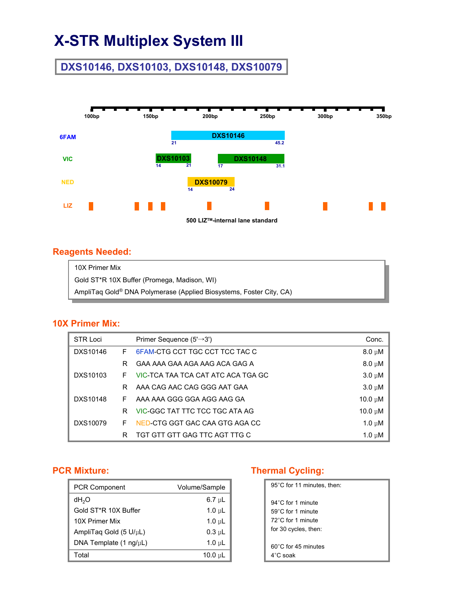# **X-STR Multiplex System III**

## **DXS10146, DXS10103, DXS10148, DXS10079**



#### **Reagents Needed:**

| 10X Primer Mix                                                      |
|---------------------------------------------------------------------|
| Gold ST*R 10X Buffer (Promega, Madison, WI)                         |
| AmpliTaq Gold® DNA Polymerase (Applied Biosystems, Foster City, CA) |

#### **10X Primer Mix:**

| <b>STR Loci</b> |   | Primer Sequence $(5' \rightarrow 3')$ | Conc.        |
|-----------------|---|---------------------------------------|--------------|
| DXS10146        | F | 6FAM-CTG CCT TGC CCT TCC TAC C        | $8.0 \mu M$  |
|                 | R | GAA AAA GAA AGA AAG ACA GAG A         | $8.0 \mu M$  |
| DXS10103        | F | VIC-TCA TAA TCA CAT ATC ACA TGA GC    | $3.0 \mu M$  |
|                 | R | AAA CAG AAC CAG GGG AAT GAA           | $3.0 \mu M$  |
| DXS10148        | F | AAA AAA GGG GGA AGG AAG GA            | 10.0 $\mu$ M |
|                 | R | VIC-GGC TAT TTC TCC TGC ATA AG        | $10.0 \mu M$ |
| DXS10079        | F | NED-CTG GGT GAC CAA GTG AGA CC        | $1.0 \mu M$  |
|                 | R | TGT GTT GTT GAG TTC AGT TTG C         | 1.0 $\mu$ M  |

#### **PCR Mixture:**

| <b>PCR Component</b>   | Volume/Sample             |
|------------------------|---------------------------|
| dH <sub>2</sub> O      | $6.7 \text{ }\mu\text{L}$ |
| Gold ST*R 10X Buffer   | $1.0 \mu L$               |
| 10X Primer Mix         | $1.0 \mu L$               |
| AmpliTaq Gold (5 U/µL) | $0.3$ uL                  |
| DNA Template (1 ng/µL) | $1.0 \mu L$               |
| Total                  | 10.0 uL                   |

### **Thermal Cycling:**

| 95°C for 11 minutes, then:    |
|-------------------------------|
| $94^{\circ}$ C for 1 minute   |
| $59^{\circ}$ C for 1 minute   |
| 72°C for 1 minute             |
| for 30 cycles, then:          |
|                               |
| $60^{\circ}$ C for 45 minutes |
| $4^\circ$ C soak              |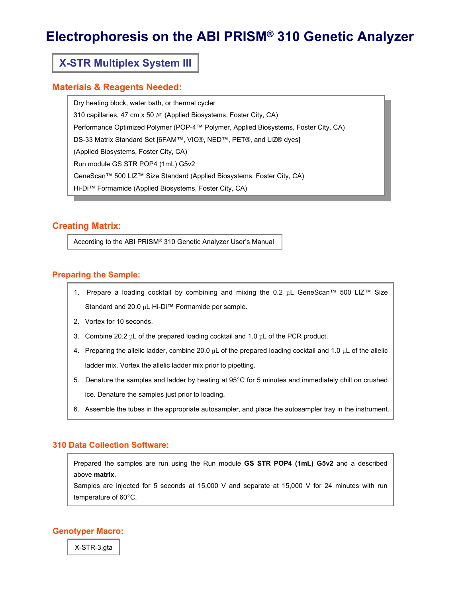## **Electrophoresis on the ABI PRISM® 310 Genetic Analyzer**

### **X-STR Multiplex System III**

#### **Materials & Reagents Needed:**

Dry heating block, water bath, or thermal cycler 310 capillaries, 47 cm x 50  $\mu$ m (Applied Biosystems, Foster City, CA) Performance Optimized Polymer (POP-4™ Polymer, Applied Biosystems, Foster City, CA) DS-33 Matrix Standard Set [6FAM™, VIC®, NED™, PET®, and LIZ® dyes] (Applied Biosystems, Foster City, CA) Run module GS STR POP4 (1mL) G5v2 GeneScan™ 500 LIZ™ Size Standard (Applied Biosystems, Foster City, CA) Hi-Di™ Formamide (Applied Biosystems, Foster City, CA)

#### **Creating Matrix:**

According to the ABI PRISM® 310 Genetic Analyzer User's Manual

#### **Preparing the Sample:**

- 1. Prepare a loading cocktail by combining and mixing the 0.2 μL GeneScan™ 500 LIZ™ Size Standard and 20.0 μL Hi-Di™ Formamide per sample.
- 2. Vortex for 10 seconds.
- 3. Combine 20.2 μL of the prepared loading cocktail and 1.0 μL of the PCR product.
- 4. Preparing the allelic ladder, combine 20.0 μL of the prepared loading cocktail and 1.0 μL of the allelic ladder mix. Vortex the allelic ladder mix prior to pipetting.
- 5. Denature the samples and ladder by heating at 95°C for 5 minutes and immediately chill on crushed ice. Denature the samples just prior to loading.
- 6. Assemble the tubes in the appropriate autosampler, and place the autosampler tray in the instrument.

#### **310 Data Collection Software:**

Prepared the samples are run using the Run module **GS STR POP4 (1mL) G5v2** and a described above **matrix**.

Samples are injected for 5 seconds at 15,000 V and separate at 15,000 V for 24 minutes with run temperature of 60°C.

#### **Genotyper Macro:**

X-STR-3.gta